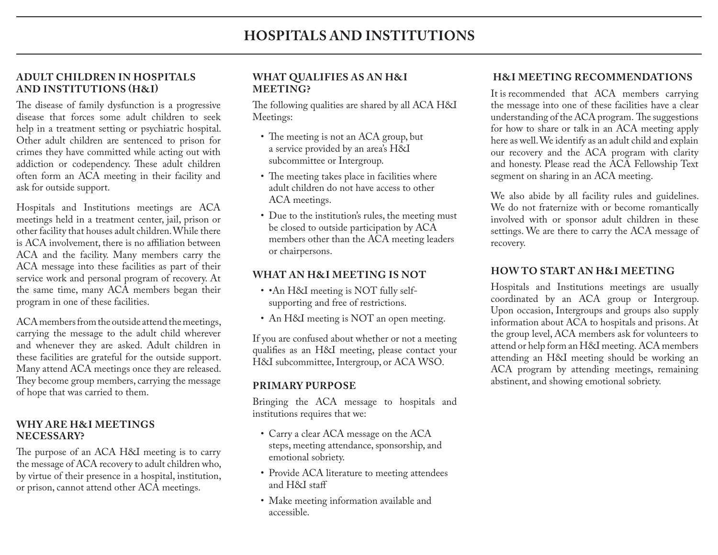#### **ADULT CHILDREN IN HOSPITALS AND INSTITUTIONS (H&I)**

The disease of family dysfunction is a progressive disease that forces some adult children to seek help in a treatment setting or psychiatric hospital. Other adult children are sentenced to prison for crimes they have committed while acting out with addiction or codependency. These adult children often form an ACA meeting in their facility and ask for outside support.

Hospitals and Institutions meetings are ACA meetings held in a treatment center, jail, prison or other facility that houses adult children. While there is ACA involvement, there is no affiliation between ACA and the facility. Many members carry the ACA message into these facilities as part of their service work and personal program of recovery. At the same time, many ACA members began their program in one of these facilities.

ACA members from the outside attend the meetings, carrying the message to the adult child wherever and whenever they are asked. Adult children in these facilities are grateful for the outside support. Many attend ACA meetings once they are released. They become group members, carrying the message of hope that was carried to them.

### **WHY ARE H&I MEETINGS NECESSARY?**

The purpose of an ACA H&I meeting is to carry the message of ACA recovery to adult children who, by virtue of their presence in a hospital, institution, or prison, cannot attend other ACA meetings.

### **WHAT QUALIFIES AS AN H&I MEETING?**

The following qualities are shared by all ACA H&I Meetings:

- The meeting is not an ACA group, but a service provided by an area's H&I subcommittee or Intergroup.
- The meeting takes place in facilities where adult children do not have access to other ACA meetings.
- Due to the institution's rules, the meeting must be closed to outside participation by ACA members other than the ACA meeting leaders or chairpersons.

## **WHAT AN H&I MEETING IS NOT**

- •An H&I meeting is NOT fully selfsupporting and free of restrictions.
- An H&I meeting is NOT an open meeting.

If you are confused about whether or not a meeting qualifies as an H&I meeting, please contact your H&I subcommittee, Intergroup, or ACA WSO.

## **PRIMARY PURPOSE**

Bringing the ACA message to hospitals and institutions requires that we:

- Carry a clear ACA message on the ACA steps, meeting attendance, sponsorship, and emotional sobriety.
- Provide ACA literature to meeting attendees and H&I staff
- Make meeting information available and accessible.

## **H&I MEETING RECOMMENDATIONS**

It is recommended that ACA members carrying the message into one of these facilities have a clear understanding of the ACA program. The suggestions for how to share or talk in an ACA meeting apply here as well. We identify as an adult child and explain our recovery and the ACA program with clarity and honesty. Please read the ACA Fellowship Text segment on sharing in an ACA meeting.

We also abide by all facility rules and guidelines. We do not fraternize with or become romantically involved with or sponsor adult children in these settings. We are there to carry the ACA message of recovery.

# **HOW TO START AN H&I MEETING**

Hospitals and Institutions meetings are usually coordinated by an ACA group or Intergroup. Upon occasion, Intergroups and groups also supply information about ACA to hospitals and prisons. At the group level, ACA members ask for volunteers to attend or help form an H&I meeting. ACA members attending an H&I meeting should be working an ACA program by attending meetings, remaining abstinent, and showing emotional sobriety.